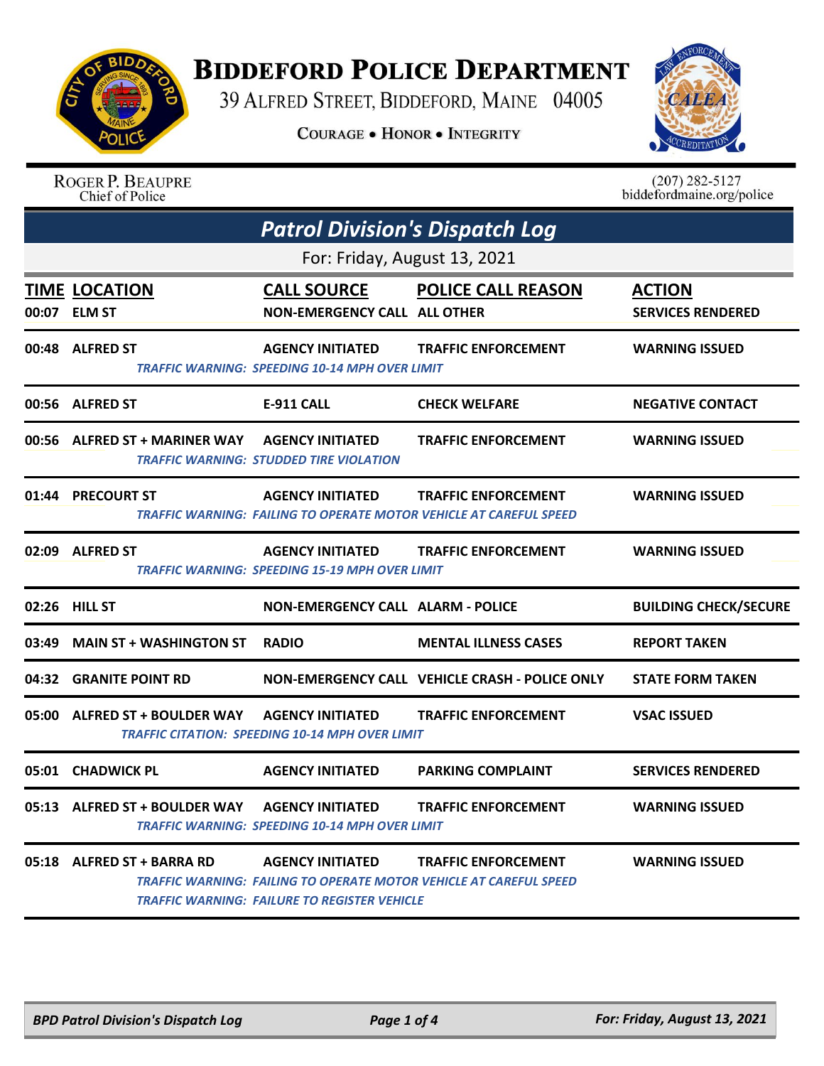

## **BIDDEFORD POLICE DEPARTMENT**

39 ALFRED STREET, BIDDEFORD, MAINE 04005

**COURAGE . HONOR . INTEGRITY** 



|       | <b>ROGER P. BEAUPRE</b><br>Chief of Police     |                                                                                   |                                                                                                  | $(207)$ 282-5127<br>biddefordmaine.org/police |  |
|-------|------------------------------------------------|-----------------------------------------------------------------------------------|--------------------------------------------------------------------------------------------------|-----------------------------------------------|--|
|       | <b>Patrol Division's Dispatch Log</b>          |                                                                                   |                                                                                                  |                                               |  |
|       |                                                | For: Friday, August 13, 2021                                                      |                                                                                                  |                                               |  |
| 00:07 | <b>TIME LOCATION</b><br><b>ELM ST</b>          | <b>CALL SOURCE</b><br><b>NON-EMERGENCY CALL ALL OTHER</b>                         | <b>POLICE CALL REASON</b>                                                                        | <b>ACTION</b><br><b>SERVICES RENDERED</b>     |  |
| 00:48 | <b>ALFRED ST</b>                               | <b>AGENCY INITIATED</b><br>TRAFFIC WARNING: SPEEDING 10-14 MPH OVER LIMIT         | <b>TRAFFIC ENFORCEMENT</b>                                                                       | <b>WARNING ISSUED</b>                         |  |
| 00:56 | <b>ALFRED ST</b>                               | <b>E-911 CALL</b>                                                                 | <b>CHECK WELFARE</b>                                                                             | <b>NEGATIVE CONTACT</b>                       |  |
| 00:56 | <b>ALFRED ST + MARINER WAY</b>                 | <b>AGENCY INITIATED</b><br>TRAFFIC WARNING: STUDDED TIRE VIOLATION                | <b>TRAFFIC ENFORCEMENT</b>                                                                       | <b>WARNING ISSUED</b>                         |  |
| 01:44 | <b>PRECOURT ST</b>                             | <b>AGENCY INITIATED</b>                                                           | <b>TRAFFIC ENFORCEMENT</b><br>TRAFFIC WARNING: FAILING TO OPERATE MOTOR VEHICLE AT CAREFUL SPEED | <b>WARNING ISSUED</b>                         |  |
|       | 02:09 ALFRED ST                                | <b>AGENCY INITIATED</b><br>TRAFFIC WARNING: SPEEDING 15-19 MPH OVER LIMIT         | <b>TRAFFIC ENFORCEMENT</b>                                                                       | <b>WARNING ISSUED</b>                         |  |
| 02:26 | <b>HILL ST</b>                                 | <b>NON-EMERGENCY CALL ALARM - POLICE</b>                                          |                                                                                                  | <b>BUILDING CHECK/SECURE</b>                  |  |
| 03:49 | <b>MAIN ST + WASHINGTON ST</b>                 | <b>RADIO</b>                                                                      | <b>MENTAL ILLNESS CASES</b>                                                                      | <b>REPORT TAKEN</b>                           |  |
| 04:32 | <b>GRANITE POINT RD</b>                        |                                                                                   | NON-EMERGENCY CALL VEHICLE CRASH - POLICE ONLY                                                   | <b>STATE FORM TAKEN</b>                       |  |
| 05:00 | <b>ALFRED ST + BOULDER WAY</b>                 | <b>AGENCY INITIATED</b><br><b>TRAFFIC CITATION: SPEEDING 10-14 MPH OVER LIMIT</b> | <b>TRAFFIC ENFORCEMENT</b>                                                                       | <b>VSAC ISSUED</b>                            |  |
|       | 05:01 CHADWICK PL                              | <b>AGENCY INITIATED</b>                                                           | <b>PARKING COMPLAINT</b>                                                                         | <b>SERVICES RENDERED</b>                      |  |
|       | 05:13 ALFRED ST + BOULDER WAY AGENCY INITIATED | <b>TRAFFIC WARNING: SPEEDING 10-14 MPH OVER LIMIT</b>                             | <b>TRAFFIC ENFORCEMENT</b>                                                                       | <b>WARNING ISSUED</b>                         |  |
|       |                                                | TRAFFIC WARNING: FAILURE TO REGISTER VEHICLE                                      | <b>TRAFFIC ENFORCEMENT</b><br>TRAFFIC WARNING: FAILING TO OPERATE MOTOR VEHICLE AT CAREFUL SPEED | <b>WARNING ISSUED</b>                         |  |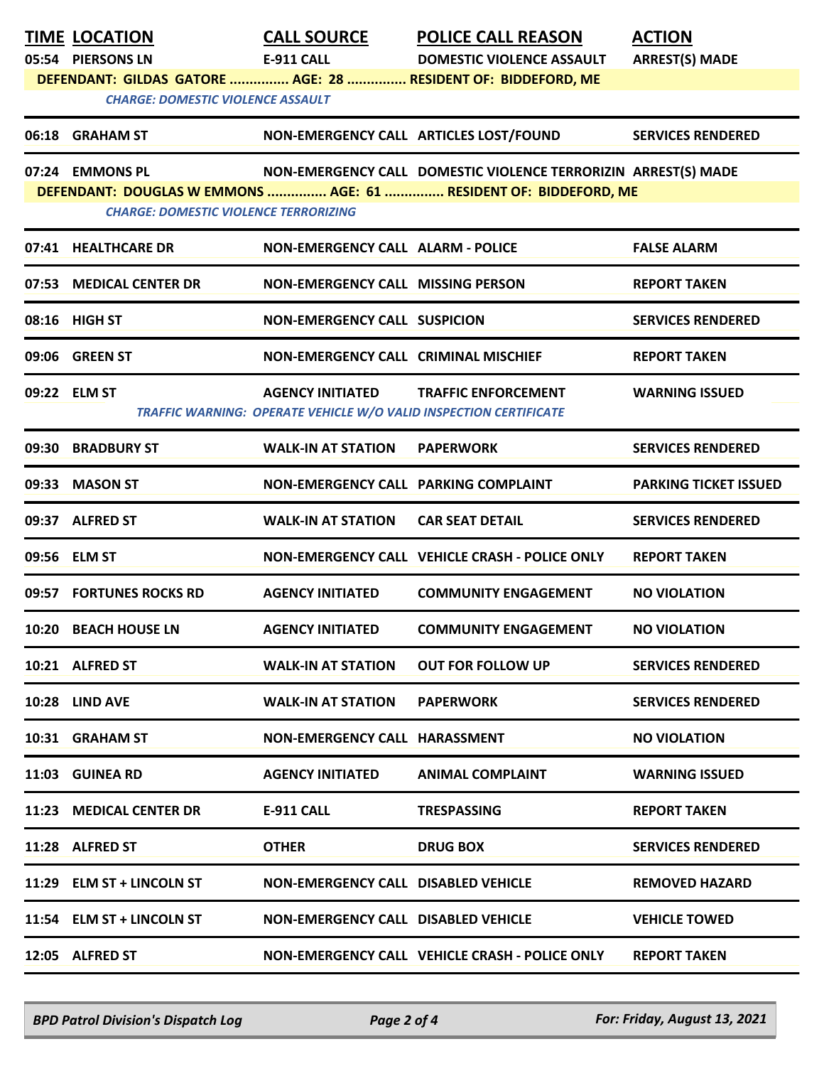| 05:54 PIERSONS LN<br><b>E-911 CALL</b><br><b>ARREST(S) MADE</b><br><b>DOMESTIC VIOLENCE ASSAULT</b><br>DEFENDANT: GILDAS GATORE  AGE: 28  RESIDENT OF: BIDDEFORD, ME<br><b>CHARGE: DOMESTIC VIOLENCE ASSAULT</b><br>NON-EMERGENCY CALL ARTICLES LOST/FOUND<br>06:18 GRAHAM ST<br><b>SERVICES RENDERED</b><br>07:24 EMMONS PL<br>NON-EMERGENCY CALL DOMESTIC VIOLENCE TERRORIZIN ARREST(S) MADE<br>DEFENDANT: DOUGLAS W EMMONS  AGE: 61  RESIDENT OF: BIDDEFORD, ME<br><b>CHARGE: DOMESTIC VIOLENCE TERRORIZING</b><br>07:41 HEALTHCARE DR<br>NON-EMERGENCY CALL ALARM - POLICE<br><b>FALSE ALARM</b><br>07:53 MEDICAL CENTER DR<br>NON-EMERGENCY CALL MISSING PERSON<br><b>REPORT TAKEN</b><br>08:16 HIGH ST<br><b>NON-EMERGENCY CALL SUSPICION</b><br><b>SERVICES RENDERED</b><br>09:06 GREEN ST<br><b>NON-EMERGENCY CALL CRIMINAL MISCHIEF</b><br><b>REPORT TAKEN</b><br>09:22 ELM ST<br>AGENCY INITIATED TRAFFIC ENFORCEMENT<br><b>WARNING ISSUED</b><br>TRAFFIC WARNING: OPERATE VEHICLE W/O VALID INSPECTION CERTIFICATE<br>09:30 BRADBURY ST<br><b>WALK-IN AT STATION</b><br><b>PAPERWORK</b><br><b>SERVICES RENDERED</b><br>09:33 MASON ST<br>NON-EMERGENCY CALL PARKING COMPLAINT<br><b>PARKING TICKET ISSUED</b><br>09:37 ALFRED ST<br><b>WALK-IN AT STATION</b><br><b>CAR SEAT DETAIL</b><br><b>SERVICES RENDERED</b><br>09:56 ELM ST<br>NON-EMERGENCY CALL VEHICLE CRASH - POLICE ONLY<br><b>REPORT TAKEN</b><br>09:57 FORTUNES ROCKS RD<br><b>AGENCY INITIATED</b><br><b>COMMUNITY ENGAGEMENT</b><br><b>NO VIOLATION</b><br><b>COMMUNITY ENGAGEMENT</b><br>10:20 BEACH HOUSE LN<br><b>AGENCY INITIATED</b><br><b>NO VIOLATION</b><br>10:21 ALFRED ST<br><b>WALK-IN AT STATION</b><br><b>OUT FOR FOLLOW UP</b><br><b>SERVICES RENDERED</b><br>10:28 LIND AVE<br><b>WALK-IN AT STATION</b><br><b>PAPERWORK</b><br><b>SERVICES RENDERED</b><br><b>NON-EMERGENCY CALL HARASSMENT</b><br>10:31 GRAHAM ST<br><b>NO VIOLATION</b><br>11:03 GUINEA RD<br><b>AGENCY INITIATED</b><br><b>WARNING ISSUED</b><br>ANIMAL COMPLAINT<br>11:23 MEDICAL CENTER DR<br><b>E-911 CALL</b><br><b>TRESPASSING</b><br><b>REPORT TAKEN</b><br>11:28 ALFRED ST<br><b>OTHER</b><br><b>DRUG BOX</b><br><b>SERVICES RENDERED</b><br>11:29 ELM ST + LINCOLN ST<br><b>NON-EMERGENCY CALL DISABLED VEHICLE</b><br><b>REMOVED HAZARD</b><br>11:54 ELM ST + LINCOLN ST<br><b>NON-EMERGENCY CALL DISABLED VEHICLE</b><br><b>VEHICLE TOWED</b><br>NON-EMERGENCY CALL VEHICLE CRASH - POLICE ONLY<br>12:05 ALFRED ST<br><b>REPORT TAKEN</b> | <b>TIME LOCATION</b> | <b>CALL SOURCE</b> | <b>POLICE CALL REASON</b> | <b>ACTION</b> |
|---------------------------------------------------------------------------------------------------------------------------------------------------------------------------------------------------------------------------------------------------------------------------------------------------------------------------------------------------------------------------------------------------------------------------------------------------------------------------------------------------------------------------------------------------------------------------------------------------------------------------------------------------------------------------------------------------------------------------------------------------------------------------------------------------------------------------------------------------------------------------------------------------------------------------------------------------------------------------------------------------------------------------------------------------------------------------------------------------------------------------------------------------------------------------------------------------------------------------------------------------------------------------------------------------------------------------------------------------------------------------------------------------------------------------------------------------------------------------------------------------------------------------------------------------------------------------------------------------------------------------------------------------------------------------------------------------------------------------------------------------------------------------------------------------------------------------------------------------------------------------------------------------------------------------------------------------------------------------------------------------------------------------------------------------------------------------------------------------------------------------------------------------------------------------------------------------------------------------------------------------------------------------------------------------------------------------------------------------------------------------------------------------------------------------------------------------------------------------------------------------------------------|----------------------|--------------------|---------------------------|---------------|
|                                                                                                                                                                                                                                                                                                                                                                                                                                                                                                                                                                                                                                                                                                                                                                                                                                                                                                                                                                                                                                                                                                                                                                                                                                                                                                                                                                                                                                                                                                                                                                                                                                                                                                                                                                                                                                                                                                                                                                                                                                                                                                                                                                                                                                                                                                                                                                                                                                                                                                                     |                      |                    |                           |               |
|                                                                                                                                                                                                                                                                                                                                                                                                                                                                                                                                                                                                                                                                                                                                                                                                                                                                                                                                                                                                                                                                                                                                                                                                                                                                                                                                                                                                                                                                                                                                                                                                                                                                                                                                                                                                                                                                                                                                                                                                                                                                                                                                                                                                                                                                                                                                                                                                                                                                                                                     |                      |                    |                           |               |
|                                                                                                                                                                                                                                                                                                                                                                                                                                                                                                                                                                                                                                                                                                                                                                                                                                                                                                                                                                                                                                                                                                                                                                                                                                                                                                                                                                                                                                                                                                                                                                                                                                                                                                                                                                                                                                                                                                                                                                                                                                                                                                                                                                                                                                                                                                                                                                                                                                                                                                                     |                      |                    |                           |               |
|                                                                                                                                                                                                                                                                                                                                                                                                                                                                                                                                                                                                                                                                                                                                                                                                                                                                                                                                                                                                                                                                                                                                                                                                                                                                                                                                                                                                                                                                                                                                                                                                                                                                                                                                                                                                                                                                                                                                                                                                                                                                                                                                                                                                                                                                                                                                                                                                                                                                                                                     |                      |                    |                           |               |
|                                                                                                                                                                                                                                                                                                                                                                                                                                                                                                                                                                                                                                                                                                                                                                                                                                                                                                                                                                                                                                                                                                                                                                                                                                                                                                                                                                                                                                                                                                                                                                                                                                                                                                                                                                                                                                                                                                                                                                                                                                                                                                                                                                                                                                                                                                                                                                                                                                                                                                                     |                      |                    |                           |               |
|                                                                                                                                                                                                                                                                                                                                                                                                                                                                                                                                                                                                                                                                                                                                                                                                                                                                                                                                                                                                                                                                                                                                                                                                                                                                                                                                                                                                                                                                                                                                                                                                                                                                                                                                                                                                                                                                                                                                                                                                                                                                                                                                                                                                                                                                                                                                                                                                                                                                                                                     |                      |                    |                           |               |
|                                                                                                                                                                                                                                                                                                                                                                                                                                                                                                                                                                                                                                                                                                                                                                                                                                                                                                                                                                                                                                                                                                                                                                                                                                                                                                                                                                                                                                                                                                                                                                                                                                                                                                                                                                                                                                                                                                                                                                                                                                                                                                                                                                                                                                                                                                                                                                                                                                                                                                                     |                      |                    |                           |               |
|                                                                                                                                                                                                                                                                                                                                                                                                                                                                                                                                                                                                                                                                                                                                                                                                                                                                                                                                                                                                                                                                                                                                                                                                                                                                                                                                                                                                                                                                                                                                                                                                                                                                                                                                                                                                                                                                                                                                                                                                                                                                                                                                                                                                                                                                                                                                                                                                                                                                                                                     |                      |                    |                           |               |
|                                                                                                                                                                                                                                                                                                                                                                                                                                                                                                                                                                                                                                                                                                                                                                                                                                                                                                                                                                                                                                                                                                                                                                                                                                                                                                                                                                                                                                                                                                                                                                                                                                                                                                                                                                                                                                                                                                                                                                                                                                                                                                                                                                                                                                                                                                                                                                                                                                                                                                                     |                      |                    |                           |               |
|                                                                                                                                                                                                                                                                                                                                                                                                                                                                                                                                                                                                                                                                                                                                                                                                                                                                                                                                                                                                                                                                                                                                                                                                                                                                                                                                                                                                                                                                                                                                                                                                                                                                                                                                                                                                                                                                                                                                                                                                                                                                                                                                                                                                                                                                                                                                                                                                                                                                                                                     |                      |                    |                           |               |
|                                                                                                                                                                                                                                                                                                                                                                                                                                                                                                                                                                                                                                                                                                                                                                                                                                                                                                                                                                                                                                                                                                                                                                                                                                                                                                                                                                                                                                                                                                                                                                                                                                                                                                                                                                                                                                                                                                                                                                                                                                                                                                                                                                                                                                                                                                                                                                                                                                                                                                                     |                      |                    |                           |               |
|                                                                                                                                                                                                                                                                                                                                                                                                                                                                                                                                                                                                                                                                                                                                                                                                                                                                                                                                                                                                                                                                                                                                                                                                                                                                                                                                                                                                                                                                                                                                                                                                                                                                                                                                                                                                                                                                                                                                                                                                                                                                                                                                                                                                                                                                                                                                                                                                                                                                                                                     |                      |                    |                           |               |
|                                                                                                                                                                                                                                                                                                                                                                                                                                                                                                                                                                                                                                                                                                                                                                                                                                                                                                                                                                                                                                                                                                                                                                                                                                                                                                                                                                                                                                                                                                                                                                                                                                                                                                                                                                                                                                                                                                                                                                                                                                                                                                                                                                                                                                                                                                                                                                                                                                                                                                                     |                      |                    |                           |               |
|                                                                                                                                                                                                                                                                                                                                                                                                                                                                                                                                                                                                                                                                                                                                                                                                                                                                                                                                                                                                                                                                                                                                                                                                                                                                                                                                                                                                                                                                                                                                                                                                                                                                                                                                                                                                                                                                                                                                                                                                                                                                                                                                                                                                                                                                                                                                                                                                                                                                                                                     |                      |                    |                           |               |
|                                                                                                                                                                                                                                                                                                                                                                                                                                                                                                                                                                                                                                                                                                                                                                                                                                                                                                                                                                                                                                                                                                                                                                                                                                                                                                                                                                                                                                                                                                                                                                                                                                                                                                                                                                                                                                                                                                                                                                                                                                                                                                                                                                                                                                                                                                                                                                                                                                                                                                                     |                      |                    |                           |               |
|                                                                                                                                                                                                                                                                                                                                                                                                                                                                                                                                                                                                                                                                                                                                                                                                                                                                                                                                                                                                                                                                                                                                                                                                                                                                                                                                                                                                                                                                                                                                                                                                                                                                                                                                                                                                                                                                                                                                                                                                                                                                                                                                                                                                                                                                                                                                                                                                                                                                                                                     |                      |                    |                           |               |
|                                                                                                                                                                                                                                                                                                                                                                                                                                                                                                                                                                                                                                                                                                                                                                                                                                                                                                                                                                                                                                                                                                                                                                                                                                                                                                                                                                                                                                                                                                                                                                                                                                                                                                                                                                                                                                                                                                                                                                                                                                                                                                                                                                                                                                                                                                                                                                                                                                                                                                                     |                      |                    |                           |               |
|                                                                                                                                                                                                                                                                                                                                                                                                                                                                                                                                                                                                                                                                                                                                                                                                                                                                                                                                                                                                                                                                                                                                                                                                                                                                                                                                                                                                                                                                                                                                                                                                                                                                                                                                                                                                                                                                                                                                                                                                                                                                                                                                                                                                                                                                                                                                                                                                                                                                                                                     |                      |                    |                           |               |
|                                                                                                                                                                                                                                                                                                                                                                                                                                                                                                                                                                                                                                                                                                                                                                                                                                                                                                                                                                                                                                                                                                                                                                                                                                                                                                                                                                                                                                                                                                                                                                                                                                                                                                                                                                                                                                                                                                                                                                                                                                                                                                                                                                                                                                                                                                                                                                                                                                                                                                                     |                      |                    |                           |               |
|                                                                                                                                                                                                                                                                                                                                                                                                                                                                                                                                                                                                                                                                                                                                                                                                                                                                                                                                                                                                                                                                                                                                                                                                                                                                                                                                                                                                                                                                                                                                                                                                                                                                                                                                                                                                                                                                                                                                                                                                                                                                                                                                                                                                                                                                                                                                                                                                                                                                                                                     |                      |                    |                           |               |
|                                                                                                                                                                                                                                                                                                                                                                                                                                                                                                                                                                                                                                                                                                                                                                                                                                                                                                                                                                                                                                                                                                                                                                                                                                                                                                                                                                                                                                                                                                                                                                                                                                                                                                                                                                                                                                                                                                                                                                                                                                                                                                                                                                                                                                                                                                                                                                                                                                                                                                                     |                      |                    |                           |               |
|                                                                                                                                                                                                                                                                                                                                                                                                                                                                                                                                                                                                                                                                                                                                                                                                                                                                                                                                                                                                                                                                                                                                                                                                                                                                                                                                                                                                                                                                                                                                                                                                                                                                                                                                                                                                                                                                                                                                                                                                                                                                                                                                                                                                                                                                                                                                                                                                                                                                                                                     |                      |                    |                           |               |
|                                                                                                                                                                                                                                                                                                                                                                                                                                                                                                                                                                                                                                                                                                                                                                                                                                                                                                                                                                                                                                                                                                                                                                                                                                                                                                                                                                                                                                                                                                                                                                                                                                                                                                                                                                                                                                                                                                                                                                                                                                                                                                                                                                                                                                                                                                                                                                                                                                                                                                                     |                      |                    |                           |               |
|                                                                                                                                                                                                                                                                                                                                                                                                                                                                                                                                                                                                                                                                                                                                                                                                                                                                                                                                                                                                                                                                                                                                                                                                                                                                                                                                                                                                                                                                                                                                                                                                                                                                                                                                                                                                                                                                                                                                                                                                                                                                                                                                                                                                                                                                                                                                                                                                                                                                                                                     |                      |                    |                           |               |
|                                                                                                                                                                                                                                                                                                                                                                                                                                                                                                                                                                                                                                                                                                                                                                                                                                                                                                                                                                                                                                                                                                                                                                                                                                                                                                                                                                                                                                                                                                                                                                                                                                                                                                                                                                                                                                                                                                                                                                                                                                                                                                                                                                                                                                                                                                                                                                                                                                                                                                                     |                      |                    |                           |               |
|                                                                                                                                                                                                                                                                                                                                                                                                                                                                                                                                                                                                                                                                                                                                                                                                                                                                                                                                                                                                                                                                                                                                                                                                                                                                                                                                                                                                                                                                                                                                                                                                                                                                                                                                                                                                                                                                                                                                                                                                                                                                                                                                                                                                                                                                                                                                                                                                                                                                                                                     |                      |                    |                           |               |
|                                                                                                                                                                                                                                                                                                                                                                                                                                                                                                                                                                                                                                                                                                                                                                                                                                                                                                                                                                                                                                                                                                                                                                                                                                                                                                                                                                                                                                                                                                                                                                                                                                                                                                                                                                                                                                                                                                                                                                                                                                                                                                                                                                                                                                                                                                                                                                                                                                                                                                                     |                      |                    |                           |               |

*BPD Patrol Division's Dispatch Log Page 2 of 4 For: Friday, August 13, 2021*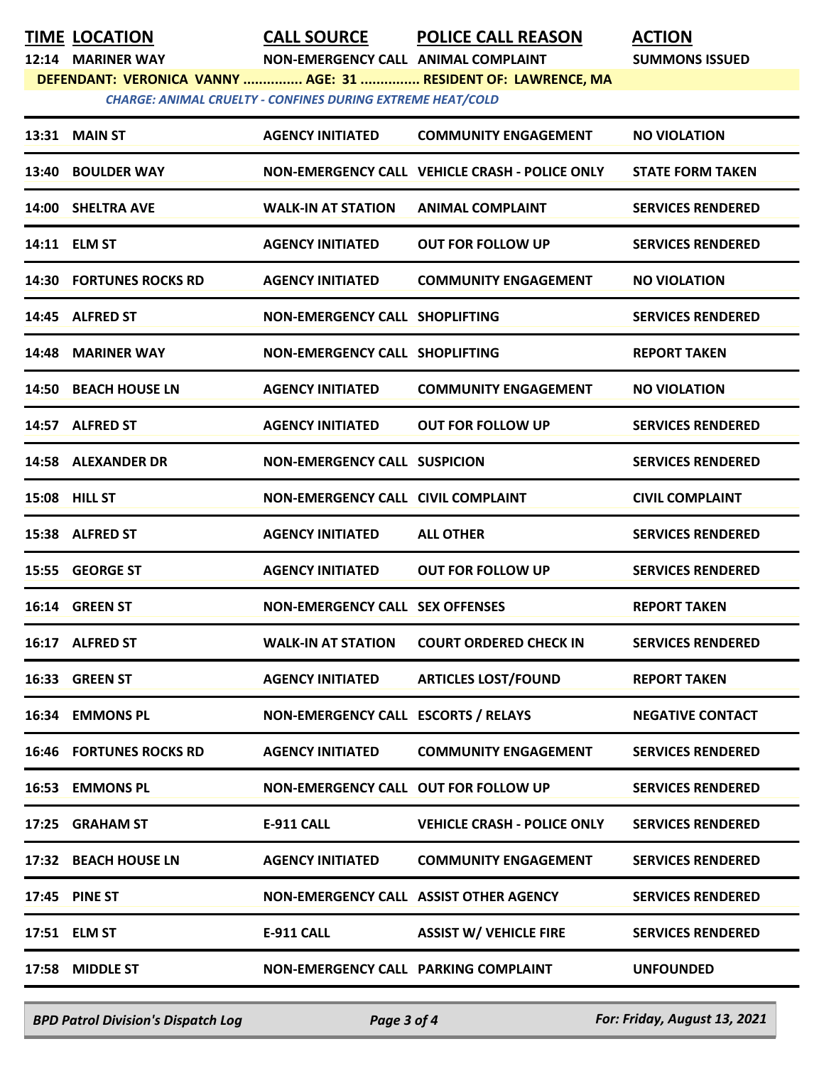## **TIME LOCATION CALL SOURCE POLICE CALL REASON ACTION**

**12:14 MARINER WAY NON-EMERGENCY CALL ANIMAL COMPLAINT SUMMONS ISSUED**

**DEFENDANT: VERONICA VANNY ............... AGE: 31 ............... RESIDENT OF: LAWRENCE, MA**

*CHARGE: ANIMAL CRUELTY - CONFINES DURING EXTREME HEAT/COLD* 

| 13:40 BOULDER WAY<br>NON-EMERGENCY CALL VEHICLE CRASH - POLICE ONLY<br><b>STATE FORM TAKEN</b><br>14:00 SHELTRA AVE<br><b>WALK-IN AT STATION</b><br><b>ANIMAL COMPLAINT</b><br><b>SERVICES RENDERED</b><br>14:11 ELM ST<br><b>AGENCY INITIATED</b><br><b>OUT FOR FOLLOW UP</b><br><b>SERVICES RENDERED</b><br><b>14:30 FORTUNES ROCKS RD</b><br><b>AGENCY INITIATED</b><br><b>COMMUNITY ENGAGEMENT</b><br><b>NO VIOLATION</b><br>14:45 ALFRED ST<br>NON-EMERGENCY CALL SHOPLIFTING<br><b>SERVICES RENDERED</b><br>14:48 MARINER WAY<br>NON-EMERGENCY CALL SHOPLIFTING<br><b>REPORT TAKEN</b><br>14:50 BEACH HOUSE LN<br><b>AGENCY INITIATED</b><br><b>COMMUNITY ENGAGEMENT</b><br><b>NO VIOLATION</b><br>14:57 ALFRED ST<br><b>AGENCY INITIATED</b><br><b>OUT FOR FOLLOW UP</b><br><b>SERVICES RENDERED</b><br><b>14:58 ALEXANDER DR</b><br><b>SERVICES RENDERED</b><br><b>NON-EMERGENCY CALL SUSPICION</b><br><b>15:08 HILL ST</b><br><b>NON-EMERGENCY CALL CIVIL COMPLAINT</b><br><b>CIVIL COMPLAINT</b><br>15:38 ALFRED ST<br><b>AGENCY INITIATED</b><br><b>ALL OTHER</b><br><b>SERVICES RENDERED</b><br><b>AGENCY INITIATED</b><br>15:55 GEORGE ST<br><b>OUT FOR FOLLOW UP</b><br><b>SERVICES RENDERED</b><br>16:14 GREEN ST<br><b>NON-EMERGENCY CALL SEX OFFENSES</b><br><b>REPORT TAKEN</b><br>16:17 ALFRED ST<br><b>WALK-IN AT STATION</b><br><b>COURT ORDERED CHECK IN</b><br><b>SERVICES RENDERED</b><br>16:33 GREEN ST<br><b>ARTICLES LOST/FOUND</b><br><b>AGENCY INITIATED</b><br><b>REPORT TAKEN</b><br>16:34 EMMONS PL<br>NON-EMERGENCY CALL ESCORTS / RELAYS<br><b>NEGATIVE CONTACT</b><br><b>16:46 FORTUNES ROCKS RD</b><br><b>AGENCY INITIATED</b><br><b>COMMUNITY ENGAGEMENT</b><br><b>SERVICES RENDERED</b><br>16:53 EMMONS PL<br>NON-EMERGENCY CALL OUT FOR FOLLOW UP<br><b>SERVICES RENDERED</b><br>17:25 GRAHAM ST<br>E-911 CALL<br><b>VEHICLE CRASH - POLICE ONLY</b><br><b>SERVICES RENDERED</b><br>17:32 BEACH HOUSE LN<br><b>AGENCY INITIATED</b><br><b>COMMUNITY ENGAGEMENT</b><br><b>SERVICES RENDERED</b><br><b>17:45 PINE ST</b><br>NON-EMERGENCY CALL ASSIST OTHER AGENCY<br><b>SERVICES RENDERED</b><br><b>ASSIST W/ VEHICLE FIRE</b><br>17:51 ELM ST<br>E-911 CALL<br><b>SERVICES RENDERED</b><br>17:58 MIDDLE ST<br>NON-EMERGENCY CALL PARKING COMPLAINT<br><b>UNFOUNDED</b> | <b>13:31 MAIN ST</b> | <b>AGENCY INITIATED</b> | <b>COMMUNITY ENGAGEMENT</b> | <b>NO VIOLATION</b> |
|---------------------------------------------------------------------------------------------------------------------------------------------------------------------------------------------------------------------------------------------------------------------------------------------------------------------------------------------------------------------------------------------------------------------------------------------------------------------------------------------------------------------------------------------------------------------------------------------------------------------------------------------------------------------------------------------------------------------------------------------------------------------------------------------------------------------------------------------------------------------------------------------------------------------------------------------------------------------------------------------------------------------------------------------------------------------------------------------------------------------------------------------------------------------------------------------------------------------------------------------------------------------------------------------------------------------------------------------------------------------------------------------------------------------------------------------------------------------------------------------------------------------------------------------------------------------------------------------------------------------------------------------------------------------------------------------------------------------------------------------------------------------------------------------------------------------------------------------------------------------------------------------------------------------------------------------------------------------------------------------------------------------------------------------------------------------------------------------------------------------------------------------------------------------------------------------------------------------------------------------------------------------------------------------------------------|----------------------|-------------------------|-----------------------------|---------------------|
|                                                                                                                                                                                                                                                                                                                                                                                                                                                                                                                                                                                                                                                                                                                                                                                                                                                                                                                                                                                                                                                                                                                                                                                                                                                                                                                                                                                                                                                                                                                                                                                                                                                                                                                                                                                                                                                                                                                                                                                                                                                                                                                                                                                                                                                                                                               |                      |                         |                             |                     |
|                                                                                                                                                                                                                                                                                                                                                                                                                                                                                                                                                                                                                                                                                                                                                                                                                                                                                                                                                                                                                                                                                                                                                                                                                                                                                                                                                                                                                                                                                                                                                                                                                                                                                                                                                                                                                                                                                                                                                                                                                                                                                                                                                                                                                                                                                                               |                      |                         |                             |                     |
|                                                                                                                                                                                                                                                                                                                                                                                                                                                                                                                                                                                                                                                                                                                                                                                                                                                                                                                                                                                                                                                                                                                                                                                                                                                                                                                                                                                                                                                                                                                                                                                                                                                                                                                                                                                                                                                                                                                                                                                                                                                                                                                                                                                                                                                                                                               |                      |                         |                             |                     |
|                                                                                                                                                                                                                                                                                                                                                                                                                                                                                                                                                                                                                                                                                                                                                                                                                                                                                                                                                                                                                                                                                                                                                                                                                                                                                                                                                                                                                                                                                                                                                                                                                                                                                                                                                                                                                                                                                                                                                                                                                                                                                                                                                                                                                                                                                                               |                      |                         |                             |                     |
|                                                                                                                                                                                                                                                                                                                                                                                                                                                                                                                                                                                                                                                                                                                                                                                                                                                                                                                                                                                                                                                                                                                                                                                                                                                                                                                                                                                                                                                                                                                                                                                                                                                                                                                                                                                                                                                                                                                                                                                                                                                                                                                                                                                                                                                                                                               |                      |                         |                             |                     |
|                                                                                                                                                                                                                                                                                                                                                                                                                                                                                                                                                                                                                                                                                                                                                                                                                                                                                                                                                                                                                                                                                                                                                                                                                                                                                                                                                                                                                                                                                                                                                                                                                                                                                                                                                                                                                                                                                                                                                                                                                                                                                                                                                                                                                                                                                                               |                      |                         |                             |                     |
|                                                                                                                                                                                                                                                                                                                                                                                                                                                                                                                                                                                                                                                                                                                                                                                                                                                                                                                                                                                                                                                                                                                                                                                                                                                                                                                                                                                                                                                                                                                                                                                                                                                                                                                                                                                                                                                                                                                                                                                                                                                                                                                                                                                                                                                                                                               |                      |                         |                             |                     |
|                                                                                                                                                                                                                                                                                                                                                                                                                                                                                                                                                                                                                                                                                                                                                                                                                                                                                                                                                                                                                                                                                                                                                                                                                                                                                                                                                                                                                                                                                                                                                                                                                                                                                                                                                                                                                                                                                                                                                                                                                                                                                                                                                                                                                                                                                                               |                      |                         |                             |                     |
|                                                                                                                                                                                                                                                                                                                                                                                                                                                                                                                                                                                                                                                                                                                                                                                                                                                                                                                                                                                                                                                                                                                                                                                                                                                                                                                                                                                                                                                                                                                                                                                                                                                                                                                                                                                                                                                                                                                                                                                                                                                                                                                                                                                                                                                                                                               |                      |                         |                             |                     |
|                                                                                                                                                                                                                                                                                                                                                                                                                                                                                                                                                                                                                                                                                                                                                                                                                                                                                                                                                                                                                                                                                                                                                                                                                                                                                                                                                                                                                                                                                                                                                                                                                                                                                                                                                                                                                                                                                                                                                                                                                                                                                                                                                                                                                                                                                                               |                      |                         |                             |                     |
|                                                                                                                                                                                                                                                                                                                                                                                                                                                                                                                                                                                                                                                                                                                                                                                                                                                                                                                                                                                                                                                                                                                                                                                                                                                                                                                                                                                                                                                                                                                                                                                                                                                                                                                                                                                                                                                                                                                                                                                                                                                                                                                                                                                                                                                                                                               |                      |                         |                             |                     |
|                                                                                                                                                                                                                                                                                                                                                                                                                                                                                                                                                                                                                                                                                                                                                                                                                                                                                                                                                                                                                                                                                                                                                                                                                                                                                                                                                                                                                                                                                                                                                                                                                                                                                                                                                                                                                                                                                                                                                                                                                                                                                                                                                                                                                                                                                                               |                      |                         |                             |                     |
|                                                                                                                                                                                                                                                                                                                                                                                                                                                                                                                                                                                                                                                                                                                                                                                                                                                                                                                                                                                                                                                                                                                                                                                                                                                                                                                                                                                                                                                                                                                                                                                                                                                                                                                                                                                                                                                                                                                                                                                                                                                                                                                                                                                                                                                                                                               |                      |                         |                             |                     |
|                                                                                                                                                                                                                                                                                                                                                                                                                                                                                                                                                                                                                                                                                                                                                                                                                                                                                                                                                                                                                                                                                                                                                                                                                                                                                                                                                                                                                                                                                                                                                                                                                                                                                                                                                                                                                                                                                                                                                                                                                                                                                                                                                                                                                                                                                                               |                      |                         |                             |                     |
|                                                                                                                                                                                                                                                                                                                                                                                                                                                                                                                                                                                                                                                                                                                                                                                                                                                                                                                                                                                                                                                                                                                                                                                                                                                                                                                                                                                                                                                                                                                                                                                                                                                                                                                                                                                                                                                                                                                                                                                                                                                                                                                                                                                                                                                                                                               |                      |                         |                             |                     |
|                                                                                                                                                                                                                                                                                                                                                                                                                                                                                                                                                                                                                                                                                                                                                                                                                                                                                                                                                                                                                                                                                                                                                                                                                                                                                                                                                                                                                                                                                                                                                                                                                                                                                                                                                                                                                                                                                                                                                                                                                                                                                                                                                                                                                                                                                                               |                      |                         |                             |                     |
|                                                                                                                                                                                                                                                                                                                                                                                                                                                                                                                                                                                                                                                                                                                                                                                                                                                                                                                                                                                                                                                                                                                                                                                                                                                                                                                                                                                                                                                                                                                                                                                                                                                                                                                                                                                                                                                                                                                                                                                                                                                                                                                                                                                                                                                                                                               |                      |                         |                             |                     |
|                                                                                                                                                                                                                                                                                                                                                                                                                                                                                                                                                                                                                                                                                                                                                                                                                                                                                                                                                                                                                                                                                                                                                                                                                                                                                                                                                                                                                                                                                                                                                                                                                                                                                                                                                                                                                                                                                                                                                                                                                                                                                                                                                                                                                                                                                                               |                      |                         |                             |                     |
|                                                                                                                                                                                                                                                                                                                                                                                                                                                                                                                                                                                                                                                                                                                                                                                                                                                                                                                                                                                                                                                                                                                                                                                                                                                                                                                                                                                                                                                                                                                                                                                                                                                                                                                                                                                                                                                                                                                                                                                                                                                                                                                                                                                                                                                                                                               |                      |                         |                             |                     |
|                                                                                                                                                                                                                                                                                                                                                                                                                                                                                                                                                                                                                                                                                                                                                                                                                                                                                                                                                                                                                                                                                                                                                                                                                                                                                                                                                                                                                                                                                                                                                                                                                                                                                                                                                                                                                                                                                                                                                                                                                                                                                                                                                                                                                                                                                                               |                      |                         |                             |                     |
|                                                                                                                                                                                                                                                                                                                                                                                                                                                                                                                                                                                                                                                                                                                                                                                                                                                                                                                                                                                                                                                                                                                                                                                                                                                                                                                                                                                                                                                                                                                                                                                                                                                                                                                                                                                                                                                                                                                                                                                                                                                                                                                                                                                                                                                                                                               |                      |                         |                             |                     |
|                                                                                                                                                                                                                                                                                                                                                                                                                                                                                                                                                                                                                                                                                                                                                                                                                                                                                                                                                                                                                                                                                                                                                                                                                                                                                                                                                                                                                                                                                                                                                                                                                                                                                                                                                                                                                                                                                                                                                                                                                                                                                                                                                                                                                                                                                                               |                      |                         |                             |                     |
|                                                                                                                                                                                                                                                                                                                                                                                                                                                                                                                                                                                                                                                                                                                                                                                                                                                                                                                                                                                                                                                                                                                                                                                                                                                                                                                                                                                                                                                                                                                                                                                                                                                                                                                                                                                                                                                                                                                                                                                                                                                                                                                                                                                                                                                                                                               |                      |                         |                             |                     |

*BPD Patrol Division's Dispatch Log Page 3 of 4 For: Friday, August 13, 2021*